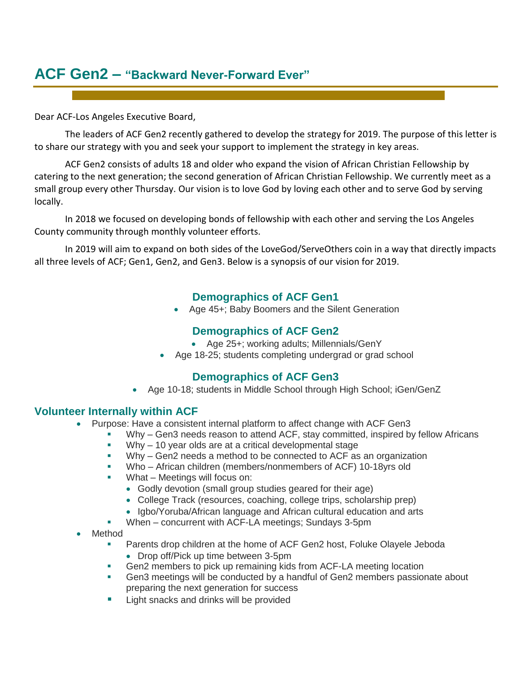# **ACF Gen2 – "Backward Never-Forward Ever"**

Dear ACF-Los Angeles Executive Board,

The leaders of ACF Gen2 recently gathered to develop the strategy for 2019. The purpose of this letter is to share our strategy with you and seek your support to implement the strategy in key areas.

ACF Gen2 consists of adults 18 and older who expand the vision of African Christian Fellowship by catering to the next generation; the second generation of African Christian Fellowship. We currently meet as a small group every other Thursday. Our vision is to love God by loving each other and to serve God by serving locally.

In 2018 we focused on developing bonds of fellowship with each other and serving the Los Angeles County community through monthly volunteer efforts.

In 2019 will aim to expand on both sides of the LoveGod/ServeOthers coin in a way that directly impacts all three levels of ACF; Gen1, Gen2, and Gen3. Below is a synopsis of our vision for 2019.

### **Demographics of ACF Gen1**

• Age 45+; Baby Boomers and the Silent Generation

## **Demographics of ACF Gen2**

- Age 25+; working adults; Millennials/GenY
- Age 18-25; students completing undergrad or grad school

#### **Demographics of ACF Gen3**

• Age 10-18; students in Middle School through High School; iGen/GenZ

#### **Volunteer Internally within ACF**

- Purpose: Have a consistent internal platform to affect change with ACF Gen3
	- Why Gen3 needs reason to attend ACF, stay committed, inspired by fellow Africans
	- $Why 10$  year olds are at a critical developmental stage
	- Why Gen2 needs a method to be connected to ACF as an organization
	- Who African children (members/nonmembers of ACF) 10-18yrs old
	- What Meetings will focus on:
		- Godly devotion (small group studies geared for their age)
		- College Track (resources, coaching, college trips, scholarship prep)
		- Igbo/Yoruba/African language and African cultural education and arts
		- When concurrent with ACF-LA meetings; Sundays 3-5pm
- Method
	- Parents drop children at the home of ACF Gen2 host, Foluke Olayele Jeboda
		- Drop off/Pick up time between 3-5pm
	- **•** Gen2 members to pick up remaining kids from ACF-LA meeting location
	- Gen3 meetings will be conducted by a handful of Gen2 members passionate about preparing the next generation for success
	- Light snacks and drinks will be provided